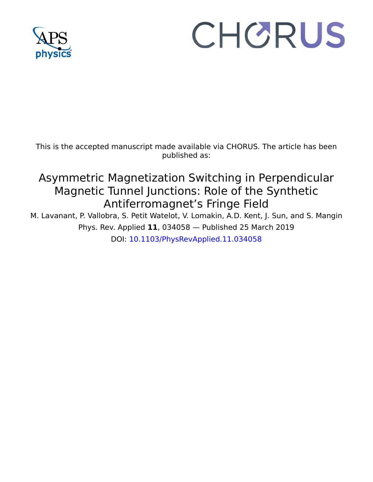

# CHORUS

This is the accepted manuscript made available via CHORUS. The article has been published as:

## Asymmetric Magnetization Switching in Perpendicular Magnetic Tunnel Junctions: Role of the Synthetic Antiferromagnet's Fringe Field

M. Lavanant, P. Vallobra, S. Petit Watelot, V. Lomakin, A.D. Kent, J. Sun, and S. Mangin Phys. Rev. Applied **11**, 034058 — Published 25 March 2019 DOI: [10.1103/PhysRevApplied.11.034058](http://dx.doi.org/10.1103/PhysRevApplied.11.034058)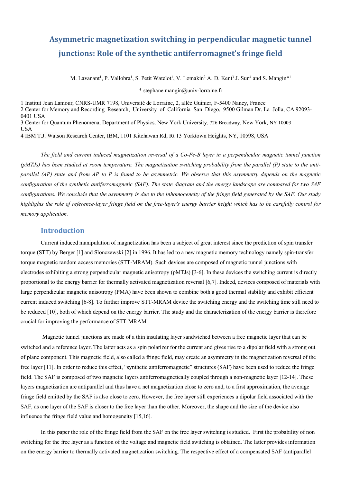### Asymmetric magnetization switching in perpendicular magnetic tunnel **junctions:** Role of the synthetic antiferromagnet's fringe field

M. Lavanant<sup>1</sup>, P. Vallobra<sup>1</sup>, S. Petit Watelot<sup>1</sup>, V. Lomakin<sup>2</sup> A. D. Kent<sup>3</sup> J. Sun<sup>4</sup> and S. Mangin<sup>\*1</sup>

\* stephane.mangin@univ-lorraine.fr

1 Institut Jean Lamour, CNRS-UMR 7198, Université de Lorraine, 2, allée Guinier, F-5400 Nancy, France 2 Center for Memory and Recording Research, University of California San Diego, 9500 Gilman Dr. La Jolla, CA 92093- 0401 USA 3 Center for Quantum Phenomena, Department of Physics, New York University, 726 Broadway, New York, NY 10003 USA 4 IBM T.J. Watson Research Center, IBM, 1101 Kitchawan Rd, Rt 13 Yorktown Heights, NY, 10598, USA

*The field and current induced magnetization reversal of a Co-Fe-B layer in a perpendicular magnetic tunnel junction (pMTJs) has been studied at room temperature. The magnetization switching probability from the parallel (P) state to the antiparallel (AP) state and from AP to P is found to be asymmetric. We observe that this asymmetry depends on the magnetic configuration of the synthetic antiferromagnetic (SAF). The state diagram and the energy landscape are compared for two SAF configurations. We conclude that the asymmetry is due to the inhomogeneity of the fringe field generated by the SAF. Our study highlights the role of reference-layer fringe field on the free-layer's energy barrier height which has to be carefully control for memory application.*

#### **Introduction**

Current induced manipulation of magnetization has been a subject of great interest since the prediction of spin transfer torque (STT) by Berger [1] and Slonczewski [2] in 1996. It has led to a new magnetic memory technology namely spin-transfer torque magnetic random access memories (STT-MRAM). Such devices are composed of magnetic tunnel junctions with electrodes exhibiting a strong perpendicular magnetic anisotropy (pMTJs) [3-6]. In these devices the switching current is directly proportional to the energy barrier for thermally activated magnetization reversal [6,7]. Indeed, devices composed of materials with large perpendicular magnetic anisotropy (PMA) have been shown to combine both a good thermal stability and exhibit efficient current induced switching [6-8]. To further improve STT-MRAM device the switching energy and the switching time still need to be reduced [10], both of which depend on the energy barrier. The study and the characterization of the energy barrier is therefore crucial for improving the performance of STT-MRAM.

Magnetic tunnel junctions are made of a thin insulating layer sandwiched between a free magnetic layer that can be switched and a reference layer. The latter acts as a spin polarizer for the current and gives rise to a dipolar field with a strong out of plane component. This magnetic field, also called a fringe field, may create an asymmetry in the magnetization reversal of the free layer [11]. In order to reduce this effect, "synthetic antiferromagnetic" structures (SAF) have been used to reduce the fringe field. The SAF is composed of two magnetic layers antiferromagnetically coupled through a non-magnetic layer [12-14]. These layers magnetization are antiparallel and thus have a net magnetization close to zero and, to a first approximation, the average fringe field emitted by the SAF is also close to zero. However, the free layer still experiences a dipolar field associated with the SAF, as one layer of the SAF is closer to the free layer than the other. Moreover, the shape and the size of the device also influence the fringe field value and homogeneity [15,16].

In this paper the role of the fringe field from the SAF on the free layer switching is studied. First the probability of non switching for the free layer as a function of the voltage and magnetic field switching is obtained. The latter provides information on the energy barrier to thermally activated magnetization switching. The respective effect of a compensated SAF (antiparallel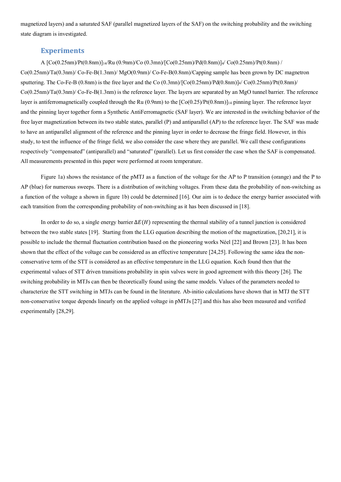magnetized layers) and a saturated SAF (parallel magnetized layers of the SAF) on the switching probability and the switching state diagram is investigated.

#### **Experiments**

A [Co(0.25nm)/Pt(0.8nm)]14/Ru (0.9nm)/Co (0.3mn)/[Co(0.25nm)/Pd(0.8nm)]4/ Co(0.25nm)/Pt(0.8nm) / Co(0.25nm)/Ta(0.3nm)/ Co-Fe-B(1.3nm)/ MgO(0.9nm)/ Co-Fe-B(0.8nm)/Capping sample has been grown by DC magnetron sputtering. The Co-Fe-B (0.8nm) is the free layer and the Co (0.3mn)/ $\text{[Co(0.25nm)/Pd(0.8nm)]}$  Co(0.25nm)/ $\text{Pt(0.8nm)}$ Co(0.25nm)/Ta(0.3nm)/ Co-Fe-B(1.3nm) is the reference layer. The layers are separated by an MgO tunnel barrier. The reference layer is antiferromagnetically coupled through the Ru (0.9nm) to the  $[Co(0.25)/Pt(0.8nm)]_{14}$  pinning layer. The reference layer and the pinning layer together form a Synthetic AntiFerromagnetic (SAF layer). We are interested in the switching behavior of the free layer magnetization between its two stable states, parallel (P) and antiparallel (AP) to the reference layer. The SAF was made to have an antiparallel alignment of the reference and the pinning layer in order to decrease the fringe field. However, in this study, to test the influence of the fringe field, we also consider the case where they are parallel. We call these configurations respectively "compensated" (antiparallel) and "saturated" (parallel). Let us first consider the case when the SAF is compensated. All measurements presented in this paper were performed at room temperature.

Figure 1a) shows the resistance of the pMTJ as a function of the voltage for the AP to P transition (orange) and the P to AP (blue) for numerous sweeps. There is a distribution of switching voltages. From these data the probability of non-switching as a function of the voltage a shown in figure 1b) could be determined [16]. Our aim is to deduce the energy barrier associated with each transition from the corresponding probability of non-switching as it has been discussed in [18].

In order to do so, a single energy barrier  $\Delta E(H)$  representing the thermal stability of a tunnel junction is considered between the two stable states [19]. Starting from the LLG equation describing the motion of the magnetization, [20,21], it is possible to include the thermal fluctuation contribution based on the pioneering works Néel [22] and Brown [23]. It has been shown that the effect of the voltage can be considered as an effective temperature [24,25]. Following the same idea the nonconservative term of the STT is considered as an effective temperature in the LLG equation. Koch found then that the experimental values of STT driven transitions probability in spin valves were in good agreement with this theory [26]. The switching probability in MTJs can then be theoretically found using the same models. Values of the parameters needed to characterize the STT switching in MTJs can be found in the literature. Ab-initio calculations have shown that in MTJ the STT non-conservative torque depends linearly on the applied voltage in pMTJs [27] and this has also been measured and verified experimentally [28,29].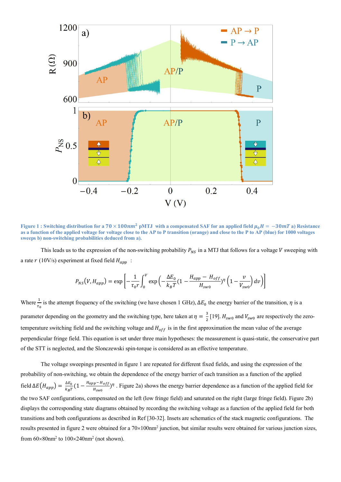

**Figure 1** : Switching distribution for a  $70 \times 100nm^2$  pMTJ with a compensated SAF for an applied field  $\mu_0 H = -30mT$  a) Resistance **as a function of the applied voltage for voltage close to the AP to P transition (orange) and close to the P to AP (blue) for 1000 voltages sweeps b) non-switching probabilities deduced from a).** 

This leads us to the expression of the non-switching probability  $P_{NS}$  in a MTJ that follows for a voltage V sweeping with a rate  $r(10V/s)$  experiment at fixed field  $H_{amp}$ :

$$
P_{NS}(V, H_{app}) = \exp\left[-\frac{1}{\tau_0 r} \int_0^V \exp\left(-\frac{\Delta E_0}{k_B T} (1 - \frac{H_{app} - H_{off}}{H_{sw0}})^{\eta} \left(1 - \frac{v}{V_{sw0}}\right) dv\right)\right]
$$

Where  $\frac{1}{\tau_0}$  is the attempt frequency of the switching (we have chosen 1 GHz),  $\Delta E_0$  the energy barrier of the transition,  $\eta$  is a parameter depending on the geometry and the switching type, here taken at  $\eta = \frac{3}{2}$  [19].  $H_{sw0}$  and  $V_{sw0}$  are respectively the zerotemperature switching field and the switching voltage and  $H_{off}$  is in the first approximation the mean value of the average perpendicular fringe field. This equation is set under three main hypotheses: the measurement is quasi-static, the conservative part of the STT is neglected, and the Slonczewski spin-torque is considered as an effective temperature.

The voltage sweepings presented in figure 1 are repeated for different fixed fields, and using the expression of the probability of non-switching, we obtain the dependence of the energy barrier of each transition as a function of the applied field  $\Delta E(H_{app}) = \frac{\Delta E_0}{k_B T} (1 - \frac{H_{app} - H_{off}}{H_{sw0}})^{\eta}$ . Figure 2a) shows the energy barrier dependence as a function of the applied field for the two SAF configurations, compensated on the left (low fringe field) and saturated on the right (large fringe field). Figure 2b) displays the corresponding state diagrams obtained by recording the switching voltage as a function of the applied field for both transitions and both configurations as described in Ref [30-32]. Insets are schematics of the stack magnetic configurations. The results presented in figure 2 were obtained for a  $70\times100$ nm<sup>2</sup> junction, but similar results were obtained for various junction sizes, from  $60\times80$ nm<sup>2</sup> to  $100\times240$ nm<sup>2</sup> (not shown).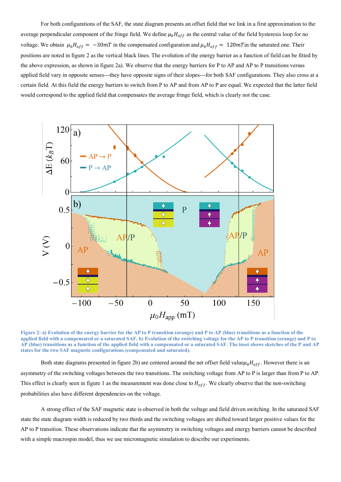For both configurations of the SAF, the state diagram presents an offset field that we link in a first approximation to the average perpendicular component of the fringe field. We define  $\mu_0 H_{off}$  as the central value of the field hysteresis loop for no voltage. We obtain  $\mu_0 H_{off} = -30 mT$  in the compensated configuration and  $\mu_0 H_{off} = 120 mT$  in the saturated one. Their positions are noted in figure 2 as the vertical black lines. The evolution of the energy barrier as a function of field can be fitted by the above expression, as shown in figure 2a). We observe that the energy barriers for P to AP and AP to P transitions versus applied field vary in opposite senses---they have opposite signs of their slopes---for both SAF configurations. They also cross at a certain field. At this field the energy barriers to switch from P to AP and from AP to P are equal. We expected that the latter field would correspond to the applied field that compensates the average fringe field, which is clearly not the case.



**Figure 2: a) Evolution of the energy barrier for the AP to P transition (orange) and P to AP (blue) transitions as a function of the applied field with a compensated or a saturated SAF. b) Evolution of the switching voltage for the AP to P transition (orange) and P to AP (blue) transitions as a function of the applied field with a compensated or a saturated SAF. The inset shows sketches of the P and AP states for the two SAF magnetic configurations (compensated and saturated).**

Both state diagrams presented in figure 2b) are centered around the net offset field value $\mu_0H_{off}$ . However there is an asymmetry of the switching voltages between the two transitions. The switching voltage from AP to P is larger than from P to AP. This effect is clearly seen in figure 1 as the measurement was done close to  $H_{off}$ . We clearly observe that the non-switching probabilities also have different dependencies on the voltage.

A strong effect of the SAF magnetic state is observed in both the voltage and field driven switching. In the saturated SAF state the state diagram width is reduced by two thirds and the switching voltages are shifted toward larger positive values for the AP to P transition. These observations indicate that the asymmetry in switching voltages and energy barriers cannot be described with a simple macrospin model, thus we use micromagnetic simulation to describe our experiments.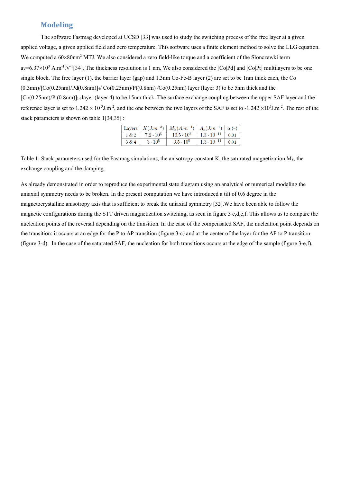#### **Modeling**

The software Fastmag developed at UCSD [33] was used to study the switching process of the free layer at a given applied voltage, a given applied field and zero temperature. This software uses a finite element method to solve the LLG equation. We computed a  $60\times80$ nm<sup>2</sup> MTJ. We also considered a zero field-like torque and a coefficient of the Slonczewki term  $av=6.37\times10^3$  A.m<sup>-1</sup>.V<sup>-1</sup>[34]. The thickness resolution is 1 nm. We also considered the [Co|Pd] and [Co|Pt] multilayers to be one single block. The free layer (1), the barrier layer (gap) and 1.3nm Co-Fe-B layer (2) are set to be 1nm thick each, the Co  $(0.3\text{mn})/[\text{Co}(0.25\text{nm})/Pd(0.8\text{nm})]$   $\frac{1}{4}$  Co(0.25nm) Pt(0.8nm) /Co(0.25nm) layer (layer 3) to be 5nm thick and the  $[Co(0.25nm)/Pt(0.8nm)]_{14}$  layer (layer 4) to be 15nm thick. The surface exchange coupling between the upper SAF layer and the reference layer is set to  $1.242 \times 10^{-3}$  J.m<sup>-2</sup>, and the one between the two layers of the SAF is set to  $-1.242 \times 10^{5}$  J.m<sup>-2</sup>. The rest of the stack parameters is shown on table 1[34,35] :

|       |                  | Layers $K(J.m^{-3})$ $M_S(A.m^{-1})$ $A_x(J.m^{-1})$ $\alpha$ (-) |                           |              |
|-------|------------------|-------------------------------------------------------------------|---------------------------|--------------|
| 1 & 2 | $7.2 \cdot 10^5$ | $10.5\cdot10^5$                                                   | $1.3 \cdot 10^{-11}$ 0.01 |              |
| 3 & 4 | $3 \cdot 10^5$   | $3.5 \cdot 10^5$                                                  | $1.3 \cdot 10^{-11}$      | $\vert 0.01$ |

Table 1: Stack parameters used for the Fastmag simulations, the anisotropy constant K, the saturated magnetization MS, the exchange coupling and the damping.

As already demonstrated in order to reproduce the experimental state diagram using an analytical or numerical modeling the uniaxial symmetry needs to be broken. In the present computation we have introduced a tilt of 0.6 degree in the magnetocrystalline anisotropy axis that is sufficient to break the uniaxial symmetry [32].We have been able to follow the magnetic configurations during the STT driven magnetization switching, as seen in figure 3 c,d,e,f. This allows us to compare the nucleation points of the reversal depending on the transition. In the case of the compensated SAF, the nucleation point depends on the transition: it occurs at an edge for the P to AP transition (figure 3-c) and at the center of the layer for the AP to P transition (figure 3-d). In the case of the saturated SAF, the nucleation for both transitions occurs at the edge of the sample (figure 3-e,f).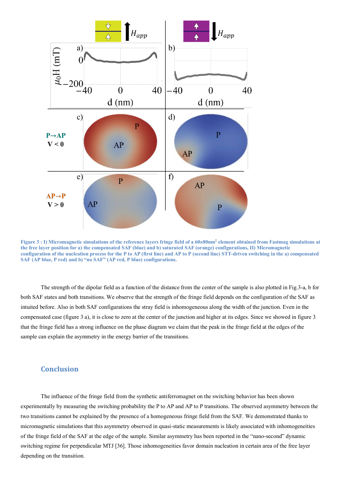

**Figure 3 : I) Micromagnetic simulations of the reference layers fringe field of a 60**´**80nm2 element obtained from Fastmag simulations at the free layer position for a) the compensated SAF (blue) and b) saturated SAF (orange) configurations, II) Micromagnetic configuration of the nucleation process for the P to AP (first line) and AP to P (second line) STT-driven switching in the a) compensated SAF (AP blue, P red) and b) "no SAF" (AP red, P blue) configurations.**

The strength of the dipolar field as a function of the distance from the center of the sample is also plotted in Fig.3-a, b for both SAF states and both transitions. We observe that the strength of the fringe field depends on the configuration of the SAF as intuited before. Also in both SAF configurations the stray field is inhomogeneous along the width of the junction. Even in the compensated case (figure 3 a), it is close to zero at the center of the junction and higher at its edges. Since we showed in figure 3 that the fringe field has a strong influence on the phase diagram we claim that the peak in the fringe field at the edges of the sample can explain the asymmetry in the energy barrier of the transitions.

#### **Conclusion**

The influence of the fringe field from the synthetic antiferromagnet on the switching behavior has been shown experimentally by measuring the switching probability the P to AP and AP to P transitions. The observed asymmetry between the two transitions cannot be explained by the presence of a homogeneous fringe field from the SAF. We demonstrated thanks to micromagnetic simulations that this asymmetry observed in quasi-static measurements is likely associated with inhomogeneities of the fringe field of the SAF at the edge of the sample. Similar asymmetry has been reported in the "nano-second" dynamic switching regime for perpendicular MTJ [36]. Those inhomogeneities favor domain nucleation in certain area of the free layer depending on the transition.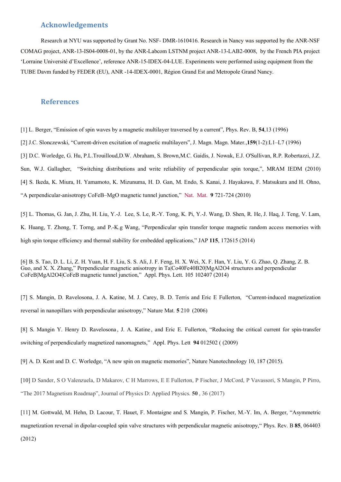#### **Acknowledgements**

Research at NYU was supported by Grant No. NSF- DMR-1610416. Research in Nancy was supported by the ANR-NSF COMAG project, ANR-13-IS04-0008-01, by the ANR-Labcom LSTNM project ANR-13-LAB2-0008, by the French PIA project 'Lorraine Université d'Excellence', reference ANR-15-IDEX-04-LUE. Experiments were performed using equipment from the TUBE Davm funded by FEDER (EU), ANR -14-IDEX-0001, Région Grand Est and Metropole Grand Nancy.

#### **References**

[1] L. Berger, "Emission of spin waves by a magnetic multilayer traversed by a current", Phys. Rev. B, **54**,13 (1996)

[2] J.C. Slonczewski, "Current-driven excitation of magnetic multilayers", J. Magn. Magn. Mater.,**159**(1-2):L1–L7 (1996)

[3] D.C. Worledge, G. Hu, P.L.Trouilloud,D.W. Abraham, S. Brown,M.C. Gaidis, J. Nowak, E.J. O'Sullivan, R.P. Robertazzi, J.Z.

Sun, W.J. Gallagher, "Switching distributions and write reliability of perpendicular spin torque,", MRAM IEDM (2010)

[4] S. Ikeda, K. Miura, H. Yamamoto, K. Mizunuma, H. D. Gan, M. Endo, S. Kanai, J. Hayakawa, F. Matsukura and H. Ohno,

"A perpendicular-anisotropy CoFeB–MgO magnetic tunnel junction," Nat. Mat. **9** 721-724 (2010)

[5] L. Thomas, G. Jan, J. Zhu, H. Liu, Y.-J. Lee, S. Le, R.-Y. Tong, K. Pi, Y.-J. Wang, D. Shen, R. He, J. Haq, J. Teng, V. Lam, K. Huang, T. Zhong, T. Torng, and P.-K.g Wang, "Perpendicular spin transfer torque magnetic random access memories with high spin torque efficiency and thermal stability for embedded applications," JAP **115**, 172615 (2014)

[6] B. S. Tao, D. L. Li, Z. H. Yuan, H. F. Liu, S. S. Ali, J. F. Feng, H. X. Wei, X. F. Han, Y. Liu, Y. G. Zhao, Q. Zhang, Z. B. Guo, and X. X. Zhang," Perpendicular magnetic anisotropy in Ta|Co40Fe40B20|MgAl2O4 structures and perpendicular CoFeB|MgAl2O4|CoFeB magnetic tunnel junction," Appl. Phys. Lett. 105 102407 (2014)

[7] S. Mangin, D. Ravelosona, J. A. Katine, M. J. Carey, B. D. Terris and Eric E Fullerton, "Current-induced magnetization reversal in nanopillars with perpendicular anisotropy," Nature Mat. **5** 210 (2006)

[8] S. Mangin Y. Henry D. Ravelosona , J. A. Katine , and Eric E. Fullerton, "Reducing the critical current for spin-transfer switching of perpendicularly magnetized nanomagnets," Appl. Phys. Lett **94** 012502 ( (2009)

[9] A. D. Kent and D. C. Worledge, "A new spin on magnetic memories", Nature Nanotechnology 10, 187 (2015).

[10] D Sander, S O Valenzuela, D Makarov, C H Marrows, E E Fullerton, P Fischer, J McCord, P Vavassori, S Mangin, P Pirro, "The 2017 Magnetism Roadmap", Journal of Physics D: Applied Physics. **50** , 36 (2017)

[11] M. Gottwald, M. Hehn, D. Lacour, T. Hauet, F. Montaigne and S. Mangin, P. Fischer, M.-Y. Im, A. Berger, "Asymmetric magnetization reversal in dipolar-coupled spin valve structures with perpendicular magnetic anisotropy," Phys. Rev. B **85**, 064403

(2012)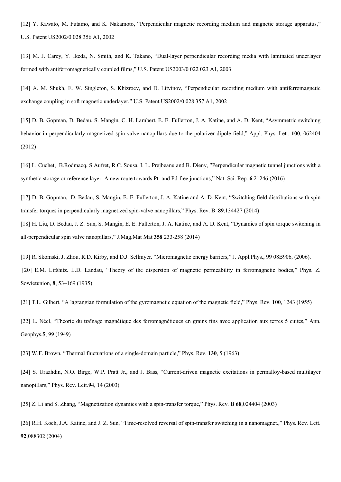[12] Y. Kawato, M. Futamo, and K. Nakamoto, "Perpendicular magnetic recording medium and magnetic storage apparatus," U.S. Patent US2002/0 028 356 A1, 2002

[13] M. J. Carey, Y. Ikeda, N. Smith, and K. Takano, "Dual-layer perpendicular recording media with laminated underlayer formed with antiferromagnetically coupled films," U.S. Patent US2003/0 022 023 A1, 2003

[14] A. M. Shukh, E. W. Singleton, S. Khizroev, and D. Litvinov, "Perpendicular recording medium with antiferromagnetic exchange coupling in soft magnetic underlayer," U.S. Patent US2002/0 028 357 A1, 2002

[15] D. B. Gopman, D. Bedau, S. Mangin, C. H. Lambert, E. E. Fullerton, J. A. Katine, and A. D. Kent, "Asymmetric switching behavior in perpendicularly magnetized spin-valve nanopillars due to the polarizer dipole field," Appl. Phys. Lett. **100**, 062404 (2012)

[16] L. Cuchet, B.Rodmacq, S.Aufret, R.C. Sousa, I. L. Prejbeanu and B. Dieny, "Perpendicular magnetic tunnel junctions with a synthetic storage or reference layer: A new route towards Pt- and Pd-free junctions," Nat. Sci. Rep. **6** 21246 (2016)

[17] D. B. Gopman, D. Bedau, S. Mangin, E. E. Fullerton, J. A. Katine and A. D. Kent, "Switching field distributions with spin transfer torques in perpendicularly magnetized spin-valve nanopillars," Phys. Rev. B **89**.134427 (2014) [18] H. Liu, D. Bedau, J. Z. Sun, S. Mangin, E. E. Fullerton, J. A. Katine, and A. D. Kent, "Dynamics of spin torque switching in all-perpendicular spin valve nanopillars," J.Mag.Mat Mat **358** 233-258 (2014)

[19] R. Skomski, J. Zhou, R.D. Kirby, and D.J. Sellmyer. "Micromagnetic energy barriers," J. Appl.Phys., **99** 08B906, (2006). [20] E.M. Lifshitz. L.D. Landau, "Theory of the dispersion of magnetic permeability in ferromagnetic bodies," Phys. Z. Sowietunion, **8**, 53–169 (1935)

[21] T.L. Gilbert. "A lagrangian formulation of the gyromagnetic equation of the magnetic field," Phys. Rev. **100**, 1243 (1955)

[22] L. Néel, "Théorie du traînage magnétique des ferromagnétiques en grains fins avec application aux terres 5 cuites," Ann. Geophys.**5**, 99 (1949)

[23] W.F. Brown, "Thermal fluctuations of a single-domain particle," Phys. Rev. **130**, 5 (1963)

[24] S. Urazhdin, N.O. Birge, W.P. Pratt Jr., and J. Bass, "Current-driven magnetic excitations in permalloy-based multilayer nanopillars," Phys. Rev. Lett.**94**, 14 (2003)

[25] Z. Li and S. Zhang, "Magnetization dynamics with a spin-transfer torque," Phys. Rev. B **68**,024404 (2003)

[26] R.H. Koch, J.A. Katine, and J. Z. Sun, "Time-resolved reversal of spin-transfer switching in a nanomagnet.," Phys. Rev. Lett. **92**,088302 (2004)